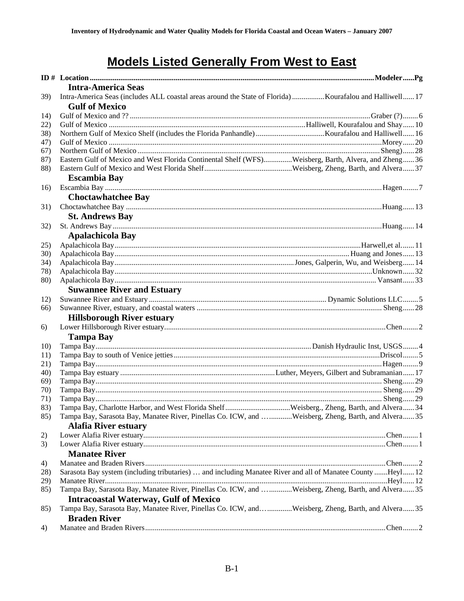# **Models Listed Generally From West to East**

|             | <b>Intra-America Seas</b>                                                                                                        |
|-------------|----------------------------------------------------------------------------------------------------------------------------------|
| <b>39</b> ) | Intra-America Seas (includes ALL coastal areas around the State of Florida) Kourafalou and Halliwell 17<br><b>Gulf of Mexico</b> |
| 14)         |                                                                                                                                  |
| 22)         |                                                                                                                                  |
| 38)         |                                                                                                                                  |
| 47)         |                                                                                                                                  |
| 67)         |                                                                                                                                  |
| 87)         | Eastern Gulf of Mexico and West Florida Continental Shelf (WFS)Weisberg, Barth, Alvera, and Zheng36                              |
| 88)         | <b>Escambia Bay</b>                                                                                                              |
| 16)         |                                                                                                                                  |
|             | <b>Choctawhatchee Bay</b>                                                                                                        |
| 31)         |                                                                                                                                  |
|             | <b>St. Andrews Bay</b>                                                                                                           |
|             |                                                                                                                                  |
| 32)         |                                                                                                                                  |
|             | <b>Apalachicola Bay</b>                                                                                                          |
| 25)         |                                                                                                                                  |
| <b>30</b> ) |                                                                                                                                  |
| 34)         |                                                                                                                                  |
| 78)         |                                                                                                                                  |
| 80)         |                                                                                                                                  |
|             | <b>Suwannee River and Estuary</b>                                                                                                |
| 12)         |                                                                                                                                  |
| 66)         |                                                                                                                                  |
|             | <b>Hillsborough River estuary</b>                                                                                                |
| 6)          |                                                                                                                                  |
|             | <b>Tampa Bay</b>                                                                                                                 |
| 10)         |                                                                                                                                  |
| 11)         |                                                                                                                                  |
| 21)         |                                                                                                                                  |
| 40)         |                                                                                                                                  |
| 69)         |                                                                                                                                  |
| 70)         |                                                                                                                                  |
| 71)         |                                                                                                                                  |
| 83)         |                                                                                                                                  |
| 85)         | Tampa Bay, Sarasota Bay, Manatee River, Pinellas Co. ICW, and Weisberg, Zheng, Barth, and Alvera35                               |
|             | <b>Alafia River estuary</b>                                                                                                      |
| 2)          |                                                                                                                                  |
| 3)          |                                                                                                                                  |
|             | <b>Manatee River</b>                                                                                                             |
| 4)          |                                                                                                                                  |
| 28)         | Sarasota Bay system (including tributaries)  and including Manatee River and all of Manatee County Heyl 12                       |
| 29)         |                                                                                                                                  |
| 85)         | Tampa Bay, Sarasota Bay, Manatee River, Pinellas Co. ICW, and Weisberg, Zheng, Barth, and Alvera35                               |
|             | <b>Intracoastal Waterway, Gulf of Mexico</b>                                                                                     |
| 85)         | Tampa Bay, Sarasota Bay, Manatee River, Pinellas Co. ICW, andWeisberg, Zheng, Barth, and Alvera35                                |
|             | <b>Braden River</b>                                                                                                              |
| 4)          |                                                                                                                                  |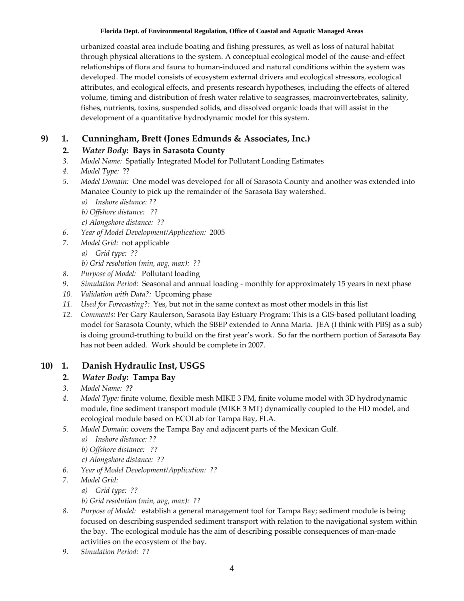#### **Florida Dept. of Environmental Regulation, Office of Coastal and Aquatic Managed Areas**

 urbanized coastal area include boating and fishing pressures, as well as loss of natural habitat through physical alterations to the system. A conceptual ecological model of the cause‐and‐effect relationships of flora and fauna to human‐induced and natural conditions within the system was developed. The model consists of ecosystem external drivers and ecological stressors, ecological attributes, and ecological effects, and presents research hypotheses, including the effects of altered volume, timing and distribution of fresh water relative to seagrasses, macroinvertebrates, salinity, fishes, nutrients, toxins, suspended solids, and dissolved organic loads that will assist in the development of a quantitative hydrodynamic model for this system.

# **9) 1. Cunningham, Brett (Jones Edmunds & Associates, Inc.)**

# **2.** *Water Body***: Bays in Sarasota County**

- *3. Model Name:* Spatially Integrated Model for Pollutant Loading Estimates
- *4. Model Type:* ??
- *5. Model Domain:* One model was developed for all of Sarasota County and another was extended into Manatee County to pick up the remainder of the Sarasota Bay watershed.
	- *a) Inshore distance: ??*
	- *b) Offshore distance: ??*
	- *c) Alongshore distance: ??*
- *6. Year of Model Development/Application:* 2005
- *7. Model Grid:* not applicable
	- *a) Grid type: ??*

 *b) Grid resolution (min, avg, max): ??*

- *8. Purpose of Model:* Pollutant loading
- *9. Simulation Period:* Seasonal and annual loading ‐ monthly for approximately 15 years in next phase
- *10. Validation with Data?:* Upcoming phase
- *11. Used for Forecasting?:* Yes, but not in the same context as most other models in this list
- *12. Comments:* Per Gary Raulerson, Sarasota Bay Estuary Program: This is a GIS‐based pollutant loading model for Sarasota County, which the SBEP extended to Anna Maria. JEA (I think with PBSJ as a sub) is doing ground‐truthing to build on the first year's work. So far the northern portion of Sarasota Bay has not been added. Work should be complete in 2007.

# **10) 1. Danish Hydraulic Inst, USGS**

## **2.** *Water Body***: Tampa Bay**

- *3. Model Name: ??*
- *4. Model Type:* finite volume, flexible mesh MIKE 3 FM, finite volume model with 3D hydrodynamic module, fine sediment transport module (MIKE 3 MT) dynamically coupled to the HD model, and ecological module based on ECOLab for Tampa Bay, FLA.
- *5. Model Domain:* covers the Tampa Bay and adjacent parts of the Mexican Gulf.
	- *a) Inshore distance: ??*
	- *b) Offshore distance: ??*
	- *c) Alongshore distance: ??*
- *6. Year of Model Development/Application: ??*
- *7. Model Grid:*
	- *a) Grid type: ??*
	- *b) Grid resolution (min, avg, max): ??*
- *8. Purpose of Model:* establish a general management tool for Tampa Bay; sediment module is being focused on describing suspended sediment transport with relation to the navigational system within the bay. The ecological module has the aim of describing possible consequences of man‐made activities on the ecosystem of the bay.
- *9. Simulation Period: ??*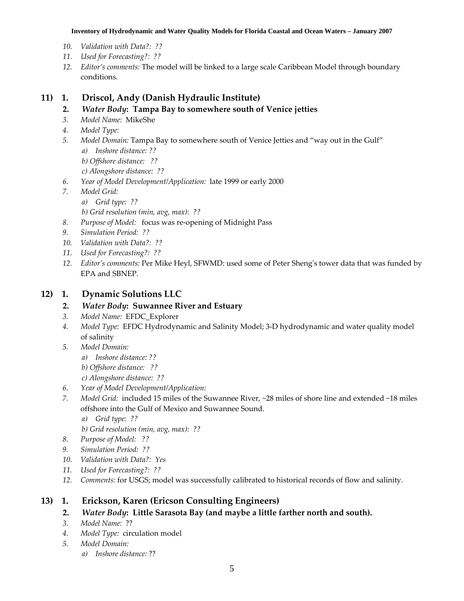#### **Inventory of Hydrodynamic and Water Quality Models for Florida Coastal and Ocean Waters – January 2007**

- *10. Validation with Data?: ??*
- *11. Used for Forecasting?: ??*
- *12. Editor's comments:* The model will be linked to a large scale Caribbean Model through boundary conditions.

## **11) 1. Driscol, Andy (Danish Hydraulic Institute)**

- **2.** *Water Body***: Tampa Bay to somewhere south of Venice jetties**
- *3. Model Name:* MikeShe
- *4. Model Type:*
- *5. Model Domain:* Tampa Bay to somewhere south of Venice Jetties and "way out in the Gulf"
	- *a) Inshore distance: ??*
	- *b) Offshore distance: ??*
	- *c) Alongshore distance: ??*
- *6. Year of Model Development/Application:* late 1999 or early 2000
- *7. Model Grid:*
	- *a) Grid type: ??*
	- *b) Grid resolution (min, avg, max): ??*
- *8. Purpose of Model:* focus was re‐opening of Midnight Pass
- *9. Simulation Period: ??*
- *10. Validation with Data?: ??*
- *11. Used for Forecasting?: ??*
- *12. Editor's comments:* Per Mike Heyl, SFWMD: used some of Peter Shengʹs tower data that was funded by EPA and SBNEP.

## **12) 1. Dynamic Solutions LLC**

## **2.** *Water Body***: Suwannee River and Estuary**

- *3. Model Name:* EFDC\_Explorer
- *4. Model Type:* EFDC Hydrodynamic and Salinity Model; 3‐D hydrodynamic and water quality model of salinity
- *5. Model Domain:*
	- *a) Inshore distance: ??*
	- *b) Offshore distance: ??*
	- *c) Alongshore distance: ??*
- *6. Year of Model Development/Application:*
- *7. Model Grid:* included 15 miles of the Suwannee River, ~28 miles of shore line and extended ~18 miles offshore into the Gulf of Mexico and Suwannee Sound.
	- *a) Grid type: ??*
	- *b) Grid resolution (min, avg, max): ??*
- *8. Purpose of Model: ??*
- *9. Simulation Period: ??*
- *10. Validation with Data?: Yes*
- *11. Used for Forecasting?: ??*
- *12. Comments:* for USGS; model was successfully calibrated to historical records of flow and salinity.

# **13) 1. Erickson, Karen (Ericson Consulting Engineers)**

- **2.** *Water Body***: Little Sarasota Bay (and maybe a little farther north and south).**
- *3. Model Name:* ??
- *4. Model Type:* circulation model
- *5. Model Domain:*
	- *a) Inshore distance:* ??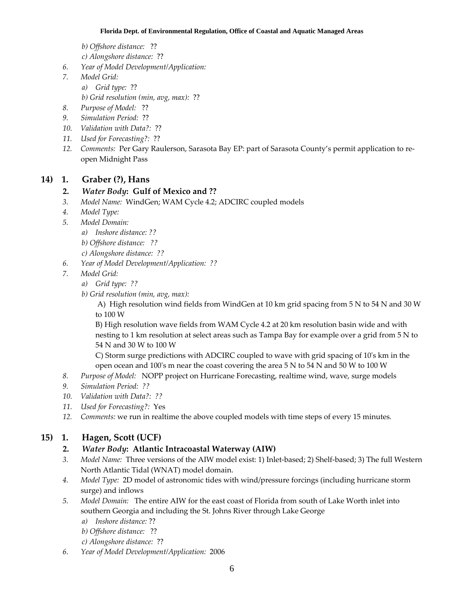*b) Offshore distance:* ??

- *c) Alongshore distance:* ??
- *6. Year of Model Development/Application:*
- *7. Model Grid:*
	- *a) Grid type:* ??
	- *b) Grid resolution (min, avg, max):* ??
- *8. Purpose of Model:* ??
- *9. Simulation Period:* ??
- *10. Validation with Data?:* ??
- *11. Used for Forecasting?:* ??
- *12. Comments:* Per Gary Raulerson, Sarasota Bay EP: part of Sarasota County's permit application to re‐ open Midnight Pass

## **14) 1. Graber (?), Hans**

#### **2.** *Water Body***: Gulf of Mexico and ??**

- *3. Model Name:* WindGen; WAM Cycle 4.2; ADCIRC coupled models
- *4. Model Type:*
- *5. Model Domain:*
	- *a) Inshore distance: ??*
	- *b) Offshore distance: ??*
	- *c) Alongshore distance: ??*
- *6. Year of Model Development/Application: ??*
- *7. Model Grid:*
	- *a) Grid type: ??*
	- *b) Grid resolution (min, avg, max):*

 A) High resolution wind fields from WindGen at 10 km grid spacing from 5 N to 54 N and 30 W to 100 W

 B) High resolution wave fields from WAM Cycle 4.2 at 20 km resolution basin wide and with nesting to 1 km resolution at select areas such as Tampa Bay for example over a grid from 5 N to 54 N and 30 W to 100 W

 C) Storm surge predictions with ADCIRC coupled to wave with grid spacing of 10ʹs km in the open ocean and 100's m near the coast covering the area 5 N to 54 N and 50 W to 100 W

- *8. Purpose of Model:* NOPP project on Hurricane Forecasting, realtime wind, wave, surge models
- *9. Simulation Period: ??*
- *10. Validation with Data?: ??*
- *11. Used for Forecasting?:* Yes
- *12. Comments:* we run in realtime the above coupled models with time steps of every 15 minutes*.*

## **15) 1. Hagen, Scott (UCF)**

#### **2.** *Water Body***: Atlantic Intracoastal Waterway (AIW)**

- *3. Model Name:* Three versions of the AIW model exist: 1) Inlet‐based; 2) Shelf‐based; 3) The full Western North Atlantic Tidal (WNAT) model domain.
- *4. Model Type:* 2D model of astronomic tides with wind/pressure forcings (including hurricane storm surge) and inflows
- *5. Model Domain:* The entire AIW for the east coast of Florida from south of Lake Worth inlet into southern Georgia and including the St. Johns River through Lake George
	- *a) Inshore distance:* ??
	- *b) Offshore distance:* ??
	- *c) Alongshore distance:* ??
- *6. Year of Model Development/Application:* 2006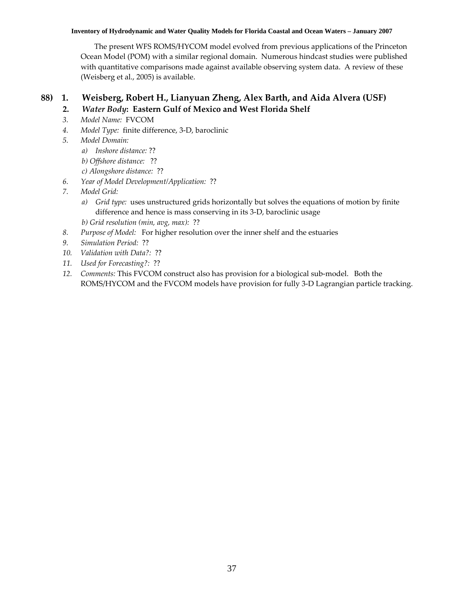#### **Inventory of Hydrodynamic and Water Quality Models for Florida Coastal and Ocean Waters – January 2007**

 The present WFS ROMS/HYCOM model evolved from previous applications of the Princeton Ocean Model (POM) with a similar regional domain. Numerous hindcast studies were published with quantitative comparisons made against available observing system data. A review of these (Weisberg et al., 2005) is available.

# **88) 1. Weisberg, Robert H., Lianyuan Zheng, Alex Barth, and Aida Alvera (USF)**

# **2.** *Water Body***: Eastern Gulf of Mexico and West Florida Shelf**

- *3. Model Name:* FVCOM
- *4. Model Type:* finite difference, 3‐D, baroclinic
- *5. Model Domain:*
	- *a) Inshore distance:* ??
	- *b) Offshore distance:* ??
	- *c) Alongshore distance:* ??
- *6. Year of Model Development/Application:* ??
- *7. Model Grid:*
	- *a) Grid type:* uses unstructured grids horizontally but solves the equations of motion by finite difference and hence is mass conserving in its 3‐D, baroclinic usage
	- *b) Grid resolution (min, avg, max):* ??
- *8. Purpose of Model:* For higher resolution over the inner shelf and the estuaries
- *9. Simulation Period:* ??
- *10. Validation with Data?:* ??
- *11. Used for Forecasting?:* ??
- *12. Comments:* This FVCOM construct also has provision for a biological sub‐model. Both the ROMS/HYCOM and the FVCOM models have provision for fully 3‐D Lagrangian particle tracking.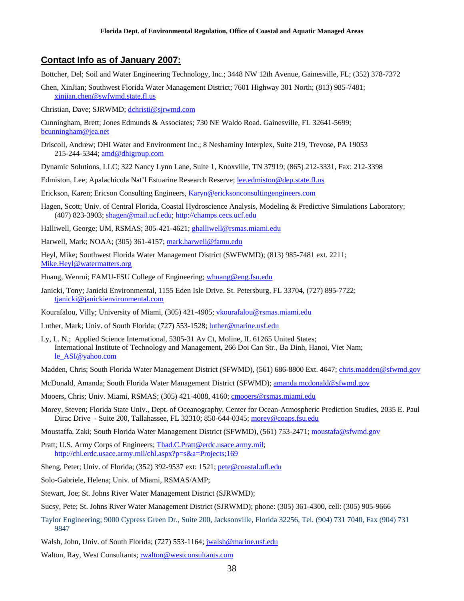#### **Contact Info as of January 2007:**

Bottcher, Del; Soil and Water Engineering Technology, Inc*.*; 3448 NW 12th Avenue, Gainesville, FL; (352) 378-7372

Chen, XinJian; Southwest Florida Water Management District; 7601 Highway 301 North; (813) 985-7481; [xinjian.chen@swfwmd.state.fl.us](mailto:xinjian.chen@swfwmd.state.fl.us) 

Christian, Dave; SJRWMD; [dchristi@sjrwmd.com](mailto:dchristi@sjrwmd.com) 

- Cunningham, Brett; Jones Edmunds & Associates; 730 NE Waldo Road. Gainesville, FL 32641-5699; [bcunningham@jea.net](mailto:bcunningham@jea.net)
- Driscoll, Andrew; DHI Water and Environment Inc.; 8 Neshaminy Interplex, Suite 219, Trevose, PA 19053 215-244-5344; [amd@dhigroup.com](mailto:amd@dhigroup.com)
- Dynamic Solutions, LLC; 322 Nancy Lynn Lane, Suite 1, Knoxville, TN 37919; (865) 212-3331, Fax: 212-3398

Edmiston, Lee; Apalachicola Nat'l Estuarine Research Reserve; [lee.edmiston@dep.state.fl.us](mailto:lee.edmiston@dep.state.fl.us)

Erickson, Karen; Ericson Consulting Engineers, [Karyn@ericksonconsultingengineers.com](mailto:Karyn@ericksonconsultingengineers.com)

Hagen, Scott; Univ. of Central Florida, Coastal Hydroscience Analysis, Modeling & Predictive Simulations Laboratory; (407) 823-3903; [shagen@mail.ucf.edu;](mailto:shagen@mail.ucf.edu) [http://champs.cecs.ucf.edu](http://champs.cecs.ucf.edu/)

Halliwell, George; UM, RSMAS; 305-421-4621; ghalliwell@rsmas.miami.edu

Harwell, Mark; NOAA; (305) 361-4157; mark.harwell@famu.edu

 Heyl, [Mike;](mailto:Mike;) Southwest Florida Water Management District (SWFWMD); (813) 985-7481 ext. 2211; [Mike.Heyl@watermatters.org](mailto:Mike.Heyl@watermatters.org)

Huang, Wenrui; FAMU-FSU College of Engineering; whuang@eng.fsu.edu

 Janicki, Tony; Janicki Environmental, 1155 Eden Isle Drive. St. Petersburg, FL 33704, (727) 895-7722; [tjanicki@janickienvironmental.com](mailto:tjanicki@janickienvironmental.com) 

Kourafalou, Villy; University of Miami, (305) 421-4905; [vkourafalou@rsmas.miami.edu](mailto:vkourafalou@rsmas.miami.edu)

Luther, Mark; Univ. of South Florida; (727) 553-1528; [luther@marine.usf.edu](mailto:luther@marine.usf.edu)

 International Institute of Technology and Management, 266 Doi Can Str., Ba Dinh, Hanoi, Viet Nam; Ly, L. N.; Applied Science International, 5305-31 Av Ct, Moline, IL 61265 United States; [le\\_ASI@yahoo.com](mailto:le_ASI@yahoo.com) 

Madden, Chris; South Florida Water Management District (SFWMD), (561) 686-8800 Ext. 4647; [chris.madden@sfwmd.gov](mailto:chris.madden@sfwmd.gov)

- McDonald, Amanda; South Florida Water Management District (SFWMD); amanda.mcdonald@sfwmd.gov
- Mooers, Chris; Univ. Miami, RSMAS; (305) 421-4088, 4160; [cmooers@rsmas.miami.edu](mailto:cmooers@rsmas.miami.edu)
- Morey, Steven; Florida State Univ., Dept. of Oceanography, Center for Ocean-Atmospheric Prediction Studies, 2035 E. Paul Dirac Drive - Suite 200, Tallahassee, FL 32310; 850-644-0345; [morey@coaps.fsu.edu](mailto:morey@coaps.fsu.edu)

Moustaffa, Zaki; South Florida Water Management District (SFWMD), (561) 753-2471; [moustafa@sfwmd.gov](mailto:moustafa@sfwmd.gov)

Pratt; U.S. Army Corps of Engineers; [Thad.C.Pratt@erdc.usace.army.mil;](mailto:Thad.C.Pratt@erdc.usace.army.mil) <http://chl.erdc.usace.army.mil/chl.aspx?p=s&a=Projects;169>

Sheng, Peter; Univ. of Florida; (352) 392-9537 ext: 1521; pete@coastal.ufl.edu

- Solo-Gabriele, Helena; Univ. of Miami, RSMAS/AMP;
- Stewart, Joe; St. Johns River Water Management District (SJRWMD);
- Sucsy, Pete; St. Johns River Water Management District (SJRWMD); phone: (305) 361-4300, cell: (305) 905-9666
- Taylor Engineering; 9000 Cypress Green Dr., Suite 200, Jacksonville, Florida 32256, Tel. (904) 731 7040, Fax (904) 731 9847

Walsh, John, Univ. of South Florida; (727) 553-1164; jwalsh@marine.usf.edu

Walton, Ray, West Consultants; [rwalton@westconsultants.com](mailto:rwalton@westconsultants.com)